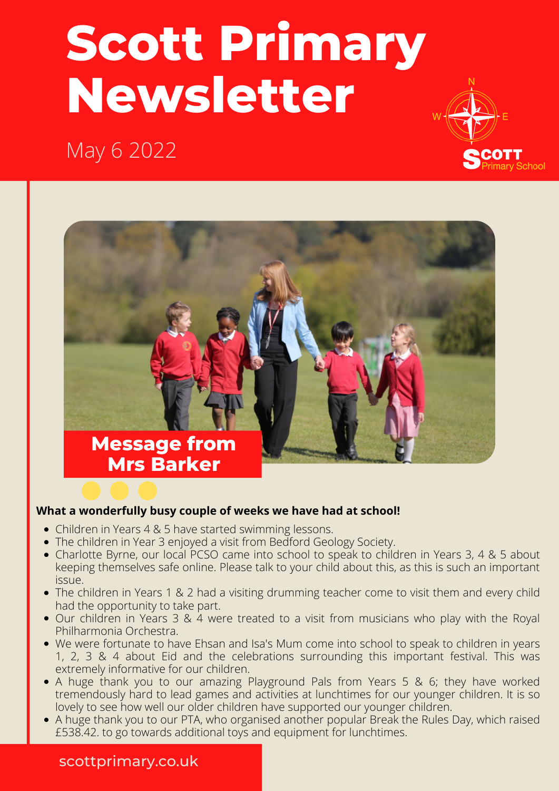# **Scott Primary Newsletter**







#### **What a wonderfully busy couple of weeks we have had at school!**

- Children in Years 4 & 5 have started swimming lessons.
- The children in Year 3 enjoyed a visit from Bedford Geology Society.
- Charlotte Byrne, our local PCSO came into school to speak to children in Years 3, 4 & 5 about keeping themselves safe online. Please talk to your child about this, as this is such an important issue.
- The children in Years 1 & 2 had a visiting drumming teacher come to visit them and every child had the opportunity to take part.
- Our children in Years 3 & 4 were treated to a visit from musicians who play with the Royal Philharmonia Orchestra.
- We were fortunate to have Ehsan and Isa's Mum come into school to speak to children in years 1, 2, 3 & 4 about Eid and the celebrations surrounding this important festival. This was extremely informative for our children.
- A huge thank you to our amazing Playground Pals from Years 5 & 6; they have worked tremendously hard to lead games and activities at lunchtimes for our younger children. It is so lovely to see how well our older children have supported our younger children.
- A huge thank you to our PTA, who organised another popular Break the Rules Day, which raised £538.42. to go towards additional toys and equipment for lunchtimes.

#### scottprimary.co.uk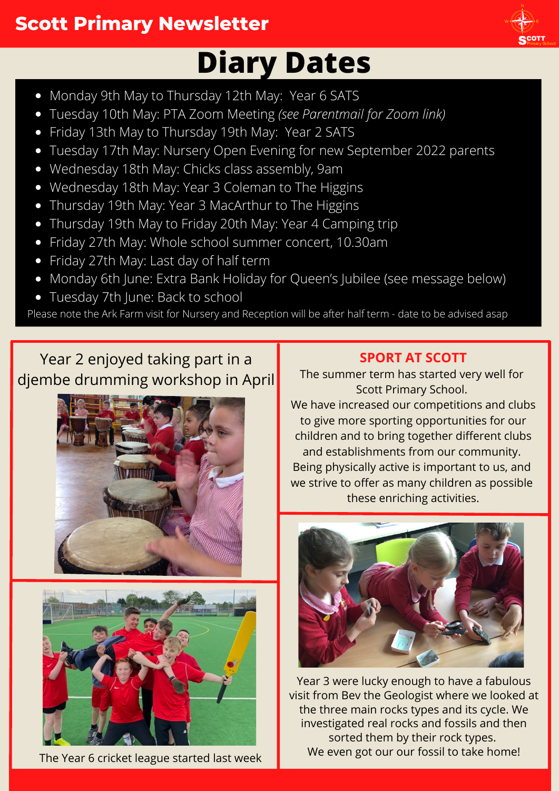# **Scott Primary Newsletter**

# **Diary Dates**

- Monday 9th May to Thursday 12th May: Year 6 SATS
- Tuesday 10th May: PTA Zoom Meeting *(see Parentmail for Zoom link)*
- Friday 13th May to Thursday 19th May: Year 2 SATS
- Tuesday 17th May: Nursery Open Evening for new September 2022 parents
- Wednesday 18th May: Chicks class assembly, 9am
- Wednesday 18th May: Year 3 Coleman to The Higgins
- Thursday 19th May: Year 3 MacArthur to The Higgins
- Thursday 19th May to Friday 20th May: Year 4 Camping trip
- Friday 27th May: Whole school summer concert, 10.30am
- Friday 27th May: Last day of half term
- Monday 6th June: Extra Bank Holiday for Queen's Jubilee (see message below)
- Tuesday 7th June: Back to school

Please note the Ark Farm visit for Nursery and Reception will be after half term - date to be advised asap

### Year 2 enjoyed taking part in a djembe drumming workshop in April





The Year 6 cricket league started last week

### **SPORT AT SCOTT**

The summer term has started very well for Scott Primary School.

We have increased our competitions and clubs to give more sporting opportunities for our children and to bring together different clubs and establishments from our community. Being physically active is important to us, and we strive to offer as many children as possible these enriching activities.



Year 3 were lucky enough to have a fabulous visit from Bev the Geologist where we looked at the three main rocks types and its cycle. We investigated real rocks and fossils and then sorted them by their rock types. We even got our our fossil to take home!